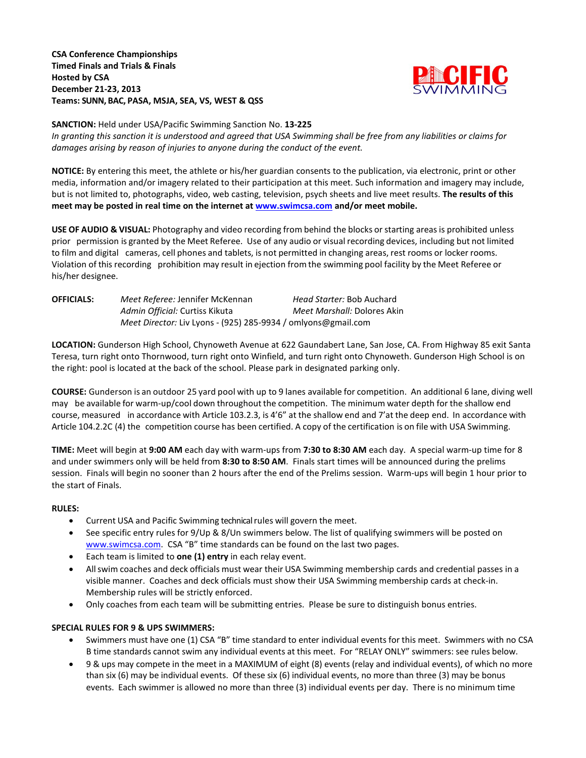# **CSA Conference Championships Timed Finals and Trials & Finals Hosted by CSA December 21-23, 2013 Teams: SUNN, BAC, PASA, MSJA, SEA, VS, WEST & QSS**



## **SANCTION:** Held under USA/Pacific Swimming Sanction No. **13-225**

*In granting this sanction it is understood and agreed that USA Swimming shall be free from any liabilities or claims for damages arising by reason of injuries to anyone during the conduct of the event.*

**NOTICE:** By entering this meet, the athlete or his/her guardian consents to the publication, via electronic, print or other media, information and/or imagery related to their participation at this meet. Such information and imagery may include, but is not limited to, photographs, video, web casting, television, psych sheets and live meet results. **The results of this meet may be posted in real time on the internet at [www.swimcsa.com](http://www.swimcsa.com/) and/or meet mobile.** 

**USE OF AUDIO & VISUAL:** Photography and video recording from behind the blocks orstarting areasis prohibited unless prior permission is granted by the Meet Referee. Use of any audio or visual recording devices, including but not limited to film and digital cameras, cell phones and tablets, is not permitted in changing areas, rest rooms or locker rooms. Violation of this recording prohibition may result in ejection from the swimming pool facility by the Meet Referee or his/her designee.

| <b>OFFICIALS:</b> | Meet Referee: Jennifer McKennan                               | Head Starter: Bob Auchard          |  |  |
|-------------------|---------------------------------------------------------------|------------------------------------|--|--|
|                   | Admin Official: Curtiss Kikuta                                | <i>Meet Marshall: Dolores Akin</i> |  |  |
|                   | Meet Director: Liv Lyons - (925) 285-9934 / omlyons@gmail.com |                                    |  |  |

**LOCATION:** Gunderson High School, Chynoweth Avenue at 622 Gaundabert Lane, San Jose, CA. From Highway 85 exit Santa Teresa, turn right onto Thornwood, turn right onto Winfield, and turn right onto Chynoweth. Gunderson High School is on the right: pool is located at the back of the school. Please park in designated parking only.

**COURSE:** Gunderson is an outdoor 25 yard pool with up to 9 lanes available for competition. An additional 6 lane, diving well may be available for warm-up/cool down throughout the competition. The minimum water depth for the shallow end course, measured in accordance with Article 103.2.3, is 4'6" at the shallow end and 7'at the deep end. In accordance with Article 104.2.2C (4) the competition course has been certified. A copy of the certification is on file with USA Swimming.

**TIME:** Meet will begin at **9:00 AM** each day with warm-ups from **7:30 to 8:30 AM** each day. A special warm-up time for 8 and under swimmers only will be held from **8:30 to 8:50 AM**. Finals start times will be announced during the prelims session. Finals will begin no sooner than 2 hours after the end of the Prelims session. Warm-ups will begin 1 hour prior to the start of Finals.

# **RULES:**

- Current USA and Pacific Swimming technical rules will govern the meet.
- See specific entry rules for 9/Up & 8/Un swimmers below. The list of qualifying swimmers will be posted on [www.swimcsa.com.](http://www.swimcsa.com/) CSA "B" time standards can be found on the last two pages.
- Each team is limited to **one (1) entry** in each relay event.
- Allswim coaches and deck officials must wear their USA Swimming membership cards and credential passes in a visible manner. Coaches and deck officials must show their USA Swimming membership cards at check-in. Membership rules will be strictly enforced.
- Only coaches from each team will be submitting entries. Please be sure to distinguish bonus entries.

# **SPECIAL RULES FOR 9 & UPS SWIMMERS:**

- Swimmers must have one (1) CSA "B" time standard to enter individual events for this meet. Swimmers with no CSA B time standards cannot swim any individual events at this meet. For "RELAY ONLY" swimmers: see rules below.
- 9 & ups may compete in the meet in a MAXIMUM of eight (8) events (relay and individual events), of which no more than six (6) may be individual events. Of these six (6) individual events, no more than three (3) may be bonus events. Each swimmer is allowed no more than three (3) individual events per day. There is no minimum time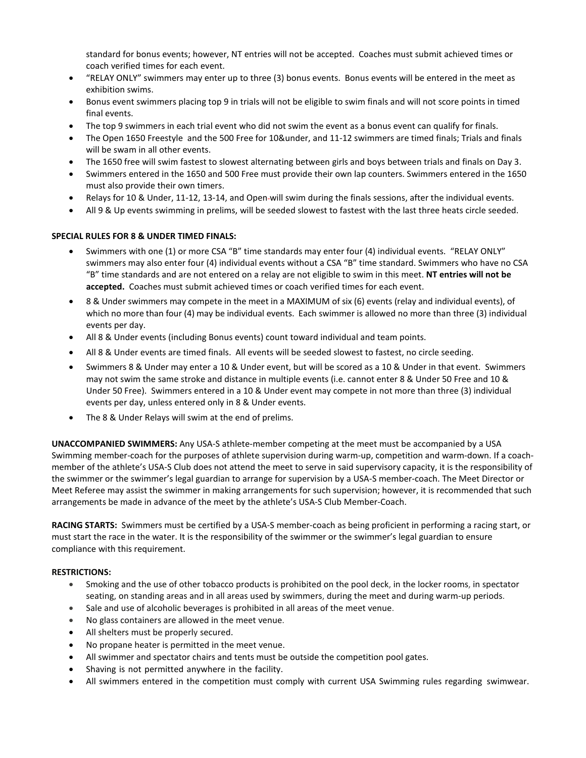standard for bonus events; however, NT entries will not be accepted. Coaches must submit achieved times or coach verified times for each event.

- "RELAY ONLY" swimmers may enter up to three (3) bonus events. Bonus events will be entered in the meet as exhibition swims.
- Bonus event swimmers placing top 9 in trials will not be eligible to swim finals and will not score points in timed final events.
- The top 9 swimmers in each trial event who did not swim the event as a bonus event can qualify for finals.
- The Open 1650 Freestyle and the 500 Free for 10&under, and 11-12 swimmers are timed finals; Trials and finals will be swam in all other events.
- The 1650 free will swim fastest to slowest alternating between girls and boys between trials and finals on Day 3.
- Swimmers entered in the 1650 and 500 Free must provide their own lap counters. Swimmers entered in the 1650 must also provide their own timers.
- Relays for 10 & Under, 11-12, 13-14, and Open-will swim during the finals sessions, after the individual events.
- All 9 & Up events swimming in prelims, will be seeded slowest to fastest with the last three heats circle seeded.

#### **SPECIAL RULES FOR 8 & UNDER TIMED FINALS:**

- Swimmers with one (1) or more CSA "B" time standards may enter four (4) individual events. "RELAY ONLY" swimmers may also enter four (4) individual events without a CSA "B" time standard. Swimmers who have no CSA "B" time standards and are not entered on a relay are not eligible to swim in this meet. **NT entries will not be accepted.** Coaches must submit achieved times or coach verified times for each event.
- 8 & Under swimmers may compete in the meet in a MAXIMUM of six (6) events (relay and individual events), of which no more than four (4) may be individual events. Each swimmer is allowed no more than three (3) individual events per day.
- All 8 & Under events (including Bonus events) count toward individual and team points.
- All 8 & Under events are timed finals. All events will be seeded slowest to fastest, no circle seeding.
- Swimmers 8 & Under may enter a 10 & Under event, but will be scored as a 10 & Under in that event. Swimmers may not swim the same stroke and distance in multiple events (i.e. cannot enter 8 & Under 50 Free and 10 & Under 50 Free). Swimmers entered in a 10 & Under event may compete in not more than three (3) individual events per day, unless entered only in 8 & Under events.
- The 8 & Under Relays will swim at the end of prelims.

**UNACCOMPANIED SWIMMERS:** Any USA-S athlete-member competing at the meet must be accompanied by a USA Swimming member-coach for the purposes of athlete supervision during warm-up, competition and warm-down. If a coachmember of the athlete's USA-S Club does not attend the meet to serve in said supervisory capacity, it is the responsibility of the swimmer or the swimmer's legal guardian to arrange for supervision by a USA-S member-coach. The Meet Director or Meet Referee may assist the swimmer in making arrangements for such supervision; however, it is recommended that such arrangements be made in advance of the meet by the athlete's USA-S Club Member-Coach.

**RACING STARTS:** Swimmers must be certified by a USA-S member-coach as being proficient in performing a racing start, or must start the race in the water. It is the responsibility of the swimmer or the swimmer's legal guardian to ensure compliance with this requirement.

#### **RESTRICTIONS:**

- Smoking and the use of other tobacco products is prohibited on the pool deck, in the locker rooms, in spectator seating, on standing areas and in all areas used by swimmers, during the meet and during warm-up periods.
- Sale and use of alcoholic beverages is prohibited in all areas of the meet venue.
- No glass containers are allowed in the meet venue.
- All shelters must be properly secured.
- No propane heater is permitted in the meet venue.
- All swimmer and spectator chairs and tents must be outside the competition pool gates.
- Shaving is not permitted anywhere in the facility.
- All swimmers entered in the competition must comply with current USA Swimming rules regarding swimwear.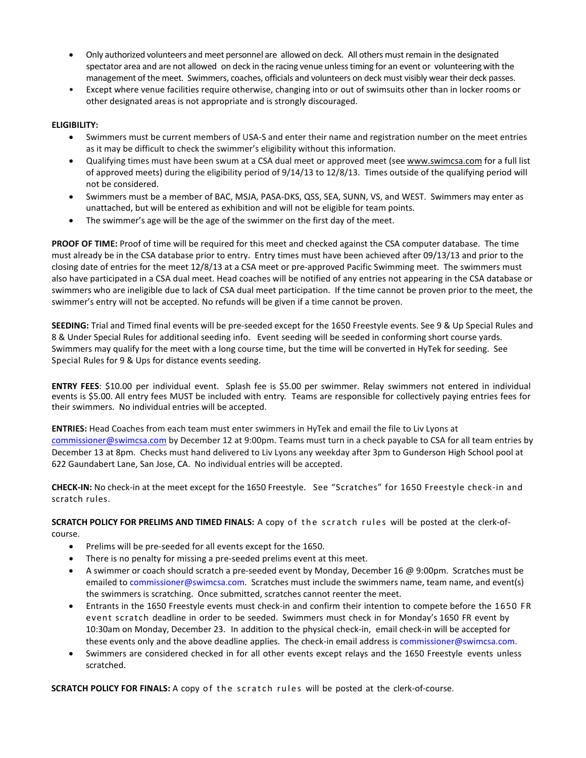- Only authorized volunteers and meet personnel are allowed on deck. All others must remain in the designated spectator area and are not allowed on deck in the racing venue unlesstiming for an event or volunteering with the management of the meet. Swimmers, coaches, officials and volunteers on deck must visibly wear their deck passes.
- Except where venue facilities require otherwise, changing into or out of swimsuits other than in locker rooms or other designated areas is not appropriate and is strongly discouraged.

### **ELIGIBILITY:**

- Swimmers must be current members of USA-S and enter their name and registration number on the meet entries as it may be difficult to check the swimmer's eligibility without this information.
- Qualifying times must have been swum at a CSA dual meet or approved meet (se[e www.swimcsa.com](http://www.swimcsa.com/) for a full list of approved meets) during the eligibility period of 9/14/13 to 12/8/13. Times outside of the qualifying period will not be considered.
- Swimmers must be a member of BAC, MSJA, PASA-DKS, QSS, SEA, SUNN, VS, and WEST. Swimmers may enter as unattached, but will be entered as exhibition and will not be eligible for team points.
- The swimmer's age will be the age of the swimmer on the first day of the meet.

**PROOF OF TIME:** Proof of time will be required for this meet and checked against the CSA computer database. The time must already be in the CSA database prior to entry. Entry times must have been achieved after 09/13/13 and prior to the closing date of entries for the meet 12/8/13 at a CSA meet or pre-approved Pacific Swimming meet. The swimmers must also have participated in a CSA dual meet. Head coaches will be notified of any entries not appearing in the CSA database or swimmers who are ineligible due to lack of CSA dual meet participation. If the time cannot be proven prior to the meet, the swimmer's entry will not be accepted. No refunds will be given if a time cannot be proven.

**SEEDING:** Trial and Timed final events will be pre-seeded except for the 1650 Freestyle events. See 9 & Up Special Rules and 8 & Under Special Rules for additional seeding info. Event seeding will be seeded in conforming short course yards. Swimmers may qualify for the meet with a long course time, but the time will be converted in HyTek for seeding. See Special Rules for 9 & Ups for distance events seeding.

**ENTRY FEES**: \$10.00 per individual event. Splash fee is \$5.00 per swimmer. Relay swimmers not entered in individual events is \$5.00. All entry fees MUST be included with entry. Teams are responsible for collectively paying entries fees for their swimmers. No individual entries will be accepted.

**ENTRIES:** Head Coaches from each team must enter swimmers in HyTek and email the file to Liv Lyons at [commissioner@swimcsa.com](mailto:commissioner@swimcsa.com) by December 12 at 9:00pm. Teams must turn in a check payable to CSA for all team entries by December 13 at 8pm. Checks must hand delivered to Liv Lyons any weekday after 3pm to Gunderson High School pool at 622 Gaundabert Lane, San Jose, CA. No individual entries will be accepted.

**CHECK-IN:** No check-in at the meet except for the 1650 Freestyle. See "Scratches" for 1650 Freestyle check-in and scratch rules.

**SCRATCH POLICY FOR PRELIMS AND TIMED FINALS:** A copy of the scratch rules will be posted at the clerk-ofcourse.

- Prelims will be pre-seeded for all events except for the 1650.
- There is no penalty for missing a pre-seeded prelims event at this meet.
- A swimmer or coach should scratch a pre-seeded event by Monday, December 16 @ 9:00pm. Scratches must be emailed t[o commissioner@swimcsa.com.](mailto:commissioner@swimcsa.com) Scratches must include the swimmers name, team name, and event(s) the swimmers is scratching. Once submitted, scratches cannot reenter the meet.
- Entrants in the 1650 Freestyle events must check-in and confirm their intention to compete before the 1650 FR event scratch deadline in order to be seeded. Swimmers must check in for Monday's 1650 FR event by 10:30am on Monday, December 23. In addition to the physical check-in, email check-in will be accepted for these events only and the above deadline applies. The check-in email address is [commissioner@swimcsa.com.](mailto:commissioner@swimcsa.com)
- Swimmers are considered checked in for all other events except relays and the 1650 Freestyle events unless scratched.

**SCRATCH POLICY FOR FINALS:** A copy of the scratch rules will be posted at the clerk-of-course.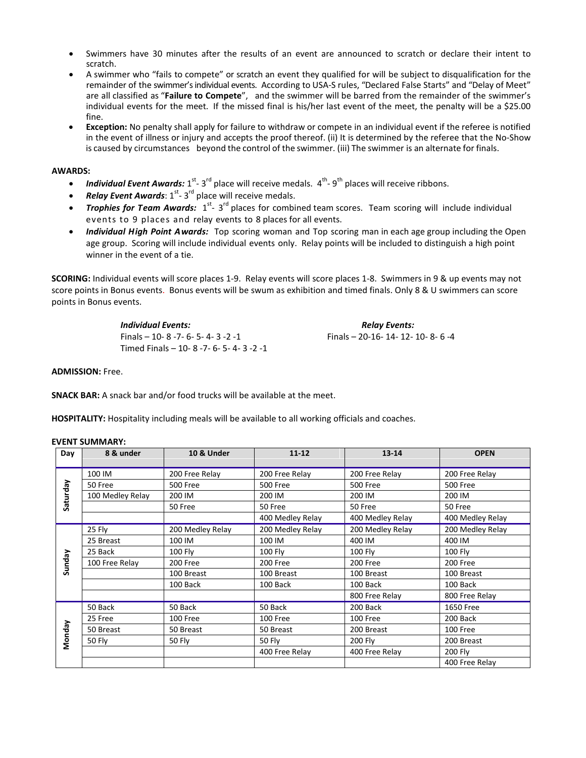- Swimmers have 30 minutes after the results of an event are announced to scratch or declare their intent to scratch.
- A swimmer who "fails to compete" or scratch an event they qualified for will be subject to disqualification for the remainder of the swimmer's individual events. According to USA-S rules, "Declared False Starts" and "Delay of Meet" are all classified as "**Failure to Compete**", and the swimmer will be barred from the remainder of the swimmer's individual events for the meet. If the missed final is his/her last event of the meet, the penalty will be a \$25.00 fine.
- **Exception:** No penalty shall apply for failure to withdraw or compete in an individual event if the referee is notified in the event of illness or injury and accepts the proof thereof. (ii) It is determined by the referee that the No-Show is caused by circumstances beyond the control of the swimmer. (iii) The swimmer is an alternate for finals.

#### **AWARDS:**

- *Individual Event Awards:* 1<sup>st</sup>-3<sup>rd</sup> place will receive medals. 4<sup>th</sup>-9<sup>th</sup> places will receive ribbons.
- **Relay Event Awards**: 1<sup>st</sup>-3<sup>rd</sup> place will receive medals.
- Trophies for Team Awards: 1<sup>st</sup>-3<sup>rd</sup> places for combined team scores. Team scoring will include individual events to 9 places and relay events to 8 places for all events.
- *Individual High Point Awards:* Top scoring woman and Top scoring man in each age group including the Open age group. Scoring will include individual events only. Relay points will be included to distinguish a high point winner in the event of a tie.

**SCORING:** Individual events will score places 1-9. Relay events will score places 1-8. Swimmers in 9 & up events may not score points in Bonus events. Bonus events will be swum as exhibition and timed finals. Only 8 & U swimmers can score points in Bonus events.

> *Individual Events: Relay Events:*  Finals – 10- 8 -7- 6- 5- 4- 3 -2 -1 Finals – 20-16- 14- 12- 10- 8- 6 -4 Timed Finals – 10- 8 -7- 6- 5- 4- 3 -2 -1

**ADMISSION:** Free.

**SNACK BAR:** A snack bar and/or food trucks will be available at the meet.

**HOSPITALITY:** Hospitality including meals will be available to all working officials and coaches.

| Day      | 8 & under        | 10 & Under       | $11 - 12$        | $13 - 14$        | <b>OPEN</b>      |  |
|----------|------------------|------------------|------------------|------------------|------------------|--|
| Saturday | 100 IM           | 200 Free Relay   | 200 Free Relay   | 200 Free Relay   | 200 Free Relay   |  |
|          | 50 Free          | 500 Free         | <b>500 Free</b>  | 500 Free         | 500 Free         |  |
|          | 100 Medley Relay | 200 IM           | 200 IM           | 200 IM           | 200 IM           |  |
|          |                  | 50 Free          | 50 Free          | 50 Free          | 50 Free          |  |
|          |                  |                  | 400 Medley Relay | 400 Medley Relay | 400 Medley Relay |  |
| Sunday   | 25 Fly           | 200 Medley Relay | 200 Medley Relay | 200 Medley Relay | 200 Medley Relay |  |
|          | 25 Breast        | 100 IM           | 100 IM           | 400 IM           | 400 IM           |  |
|          | 25 Back          | <b>100 Fly</b>   | 100 Fly          | 100 Fly          | 100 Fly          |  |
|          | 100 Free Relay   | 200 Free         | 200 Free         | 200 Free         | 200 Free         |  |
|          |                  | 100 Breast       | 100 Breast       | 100 Breast       | 100 Breast       |  |
|          |                  | 100 Back         | 100 Back         | 100 Back         | 100 Back         |  |
|          |                  |                  |                  | 800 Free Relay   | 800 Free Relay   |  |
| Monday   | 50 Back          | 50 Back          | 50 Back          | 200 Back         | 1650 Free        |  |
|          | 25 Free          | 100 Free         | 100 Free         | 100 Free         | 200 Back         |  |
|          | 50 Breast        | 50 Breast        | 50 Breast        | 200 Breast       | 100 Free         |  |
|          | <b>50 Fly</b>    | <b>50 Fly</b>    | 50 Fly           | 200 Fly          | 200 Breast       |  |
|          |                  |                  | 400 Free Relay   | 400 Free Relay   | <b>200 Fly</b>   |  |
|          |                  |                  |                  |                  | 400 Free Relay   |  |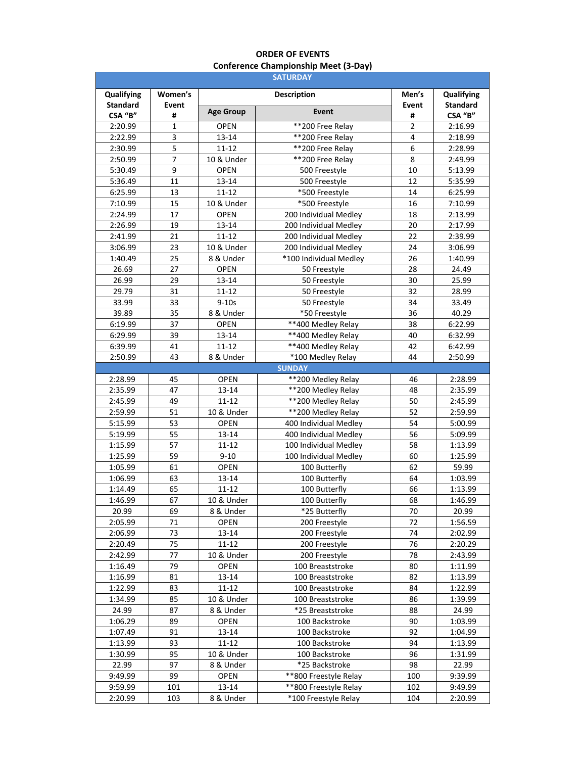# **ORDER OF EVENTS Conference Championship Meet (3-Day)**

| Qualifying<br>Women's<br><b>Description</b><br>Men's<br>Qualifying<br><b>Standard</b><br><b>Standard</b><br>Event<br>Event<br><b>Age Group</b><br>Event<br>CSA "B"<br>CSA "B"<br>#<br>#<br>**200 Free Relay<br>1<br><b>OPEN</b><br>$\overline{2}$<br>2:20.99<br>2:16.99<br>2:22.99<br>3<br>13-14<br>**200 Free Relav<br>2:18.99<br>4<br>5<br>**200 Free Relay<br>6<br>2:30.99<br>$11 - 12$<br>2:28.99<br>$\overline{7}$<br>8<br>10 & Under<br>**200 Free Relay<br>2:50.99<br>2:49.99<br>9<br>10<br>5:30.49<br><b>OPEN</b><br>500 Freestyle<br>5:13.99<br>11<br>5:36.49<br>13-14<br>500 Freestyle<br>12<br>5:35.99<br>6:25.99<br>13<br>$11 - 12$<br>*500 Freestyle<br>14<br>6:25.99<br>7:10.99<br>15<br>10 & Under<br>*500 Freestyle<br>16<br>7:10.99<br>17<br>2:24.99<br><b>OPEN</b><br>200 Individual Medley<br>18<br>2:13.99<br>2:26.99<br>19<br>13-14<br>200 Individual Medley<br>20<br>2:17.99<br>200 Individual Medley<br>2:41.99<br>21<br>$11 - 12$<br>22<br>2:39.99<br>3:06.99<br>23<br>10 & Under<br>200 Individual Medley<br>24<br>3:06.99<br>1:40.49<br>25<br>8 & Under<br>*100 Individual Medley<br>26<br>1:40.99<br>26.69<br>27<br><b>OPEN</b><br>28<br>50 Freestyle<br>24.49<br>29<br>26.99<br>50 Freestyle<br>30<br>25.99<br>$13 - 14$<br>31<br>32<br>29.79<br>$11 - 12$<br>50 Freestyle<br>28.99<br>33.99<br>33<br>$9 - 10s$<br>34<br>33.49<br>50 Freestyle<br>*50 Freestyle<br>39.89<br>35<br>8 & Under<br>36<br>40.29<br>37<br><b>OPEN</b><br>**400 Medley Relay<br>6:19.99<br>38<br>6:22.99<br>39<br>** 400 Medley Relay<br>6:29.99<br>40<br>13-14<br>6:32.99<br>**400 Medley Relay<br>41<br>42<br>6:39.99<br>$11 - 12$<br>6:42.99<br>2:50.99<br>43<br>*100 Medley Relay<br>44<br>2:50.99<br>8 & Under<br><b>SUNDAY</b><br>**200 Medley Relay<br>2:28.99<br><b>OPEN</b><br>45<br>2:28.99<br>46<br>2:35.99<br>**200 Medley Relay<br>47<br>$13 - 14$<br>48<br>2:35.99<br>49<br>$11 - 12$<br>**200 Medley Relay<br>50<br>2:45.99<br>2:45.99<br>**200 Medley Relay<br>51<br>52<br>2:59.99<br>2:59.99<br>10 & Under<br>53<br>400 Individual Medley<br>54<br>5:15.99<br><b>OPEN</b><br>5:00.99<br>55<br>5:19.99<br>$13 - 14$<br>400 Individual Medley<br>56<br>5:09.99<br>57<br>58<br>1:15.99<br>$11 - 12$<br>100 Individual Medley<br>1:13.99<br>59<br>100 Individual Medley<br>1:25.99<br>$9 - 10$<br>60<br>1:25.99<br>61<br>62<br>1:05.99<br><b>OPEN</b><br>100 Butterfly<br>59.99<br>63<br>1:06.99<br>100 Butterfly<br>64<br>$13 - 14$<br>1:03.99<br>$11 - 12$<br>1:14.49<br>65<br>100 Butterfly<br>66<br>1:13.99<br>1:46.99<br>1:46.99<br>67<br>10 & Under<br>100 Butterfly<br>68<br>*25 Butterfly<br>69<br>20.99<br>20.99<br>8 & Under<br>70<br>2:05.99<br><b>OPEN</b><br>200 Freestyle<br>72<br>1:56.59<br>71<br>2:06.99<br>73<br>$13 - 14$<br>200 Freestyle<br>74<br>2:02.99<br>75<br>2:20.49<br>11-12<br>200 Freestyle<br>76<br>2:20.29 | <b>SATURDAY</b> |  |  |  |  |  |
|--------------------------------------------------------------------------------------------------------------------------------------------------------------------------------------------------------------------------------------------------------------------------------------------------------------------------------------------------------------------------------------------------------------------------------------------------------------------------------------------------------------------------------------------------------------------------------------------------------------------------------------------------------------------------------------------------------------------------------------------------------------------------------------------------------------------------------------------------------------------------------------------------------------------------------------------------------------------------------------------------------------------------------------------------------------------------------------------------------------------------------------------------------------------------------------------------------------------------------------------------------------------------------------------------------------------------------------------------------------------------------------------------------------------------------------------------------------------------------------------------------------------------------------------------------------------------------------------------------------------------------------------------------------------------------------------------------------------------------------------------------------------------------------------------------------------------------------------------------------------------------------------------------------------------------------------------------------------------------------------------------------------------------------------------------------------------------------------------------------------------------------------------------------------------------------------------------------------------------------------------------------------------------------------------------------------------------------------------------------------------------------------------------------------------------------------------------------------------------------------------------------------------------------------------------------------------------------------------------------------------------------------------------------------------------------------------------------------------------------------------------------------------------------------------------------------------------------------------------------|-----------------|--|--|--|--|--|
|                                                                                                                                                                                                                                                                                                                                                                                                                                                                                                                                                                                                                                                                                                                                                                                                                                                                                                                                                                                                                                                                                                                                                                                                                                                                                                                                                                                                                                                                                                                                                                                                                                                                                                                                                                                                                                                                                                                                                                                                                                                                                                                                                                                                                                                                                                                                                                                                                                                                                                                                                                                                                                                                                                                                                                                                                                                              |                 |  |  |  |  |  |
|                                                                                                                                                                                                                                                                                                                                                                                                                                                                                                                                                                                                                                                                                                                                                                                                                                                                                                                                                                                                                                                                                                                                                                                                                                                                                                                                                                                                                                                                                                                                                                                                                                                                                                                                                                                                                                                                                                                                                                                                                                                                                                                                                                                                                                                                                                                                                                                                                                                                                                                                                                                                                                                                                                                                                                                                                                                              |                 |  |  |  |  |  |
|                                                                                                                                                                                                                                                                                                                                                                                                                                                                                                                                                                                                                                                                                                                                                                                                                                                                                                                                                                                                                                                                                                                                                                                                                                                                                                                                                                                                                                                                                                                                                                                                                                                                                                                                                                                                                                                                                                                                                                                                                                                                                                                                                                                                                                                                                                                                                                                                                                                                                                                                                                                                                                                                                                                                                                                                                                                              |                 |  |  |  |  |  |
|                                                                                                                                                                                                                                                                                                                                                                                                                                                                                                                                                                                                                                                                                                                                                                                                                                                                                                                                                                                                                                                                                                                                                                                                                                                                                                                                                                                                                                                                                                                                                                                                                                                                                                                                                                                                                                                                                                                                                                                                                                                                                                                                                                                                                                                                                                                                                                                                                                                                                                                                                                                                                                                                                                                                                                                                                                                              |                 |  |  |  |  |  |
|                                                                                                                                                                                                                                                                                                                                                                                                                                                                                                                                                                                                                                                                                                                                                                                                                                                                                                                                                                                                                                                                                                                                                                                                                                                                                                                                                                                                                                                                                                                                                                                                                                                                                                                                                                                                                                                                                                                                                                                                                                                                                                                                                                                                                                                                                                                                                                                                                                                                                                                                                                                                                                                                                                                                                                                                                                                              |                 |  |  |  |  |  |
|                                                                                                                                                                                                                                                                                                                                                                                                                                                                                                                                                                                                                                                                                                                                                                                                                                                                                                                                                                                                                                                                                                                                                                                                                                                                                                                                                                                                                                                                                                                                                                                                                                                                                                                                                                                                                                                                                                                                                                                                                                                                                                                                                                                                                                                                                                                                                                                                                                                                                                                                                                                                                                                                                                                                                                                                                                                              |                 |  |  |  |  |  |
|                                                                                                                                                                                                                                                                                                                                                                                                                                                                                                                                                                                                                                                                                                                                                                                                                                                                                                                                                                                                                                                                                                                                                                                                                                                                                                                                                                                                                                                                                                                                                                                                                                                                                                                                                                                                                                                                                                                                                                                                                                                                                                                                                                                                                                                                                                                                                                                                                                                                                                                                                                                                                                                                                                                                                                                                                                                              |                 |  |  |  |  |  |
|                                                                                                                                                                                                                                                                                                                                                                                                                                                                                                                                                                                                                                                                                                                                                                                                                                                                                                                                                                                                                                                                                                                                                                                                                                                                                                                                                                                                                                                                                                                                                                                                                                                                                                                                                                                                                                                                                                                                                                                                                                                                                                                                                                                                                                                                                                                                                                                                                                                                                                                                                                                                                                                                                                                                                                                                                                                              |                 |  |  |  |  |  |
|                                                                                                                                                                                                                                                                                                                                                                                                                                                                                                                                                                                                                                                                                                                                                                                                                                                                                                                                                                                                                                                                                                                                                                                                                                                                                                                                                                                                                                                                                                                                                                                                                                                                                                                                                                                                                                                                                                                                                                                                                                                                                                                                                                                                                                                                                                                                                                                                                                                                                                                                                                                                                                                                                                                                                                                                                                                              |                 |  |  |  |  |  |
|                                                                                                                                                                                                                                                                                                                                                                                                                                                                                                                                                                                                                                                                                                                                                                                                                                                                                                                                                                                                                                                                                                                                                                                                                                                                                                                                                                                                                                                                                                                                                                                                                                                                                                                                                                                                                                                                                                                                                                                                                                                                                                                                                                                                                                                                                                                                                                                                                                                                                                                                                                                                                                                                                                                                                                                                                                                              |                 |  |  |  |  |  |
|                                                                                                                                                                                                                                                                                                                                                                                                                                                                                                                                                                                                                                                                                                                                                                                                                                                                                                                                                                                                                                                                                                                                                                                                                                                                                                                                                                                                                                                                                                                                                                                                                                                                                                                                                                                                                                                                                                                                                                                                                                                                                                                                                                                                                                                                                                                                                                                                                                                                                                                                                                                                                                                                                                                                                                                                                                                              |                 |  |  |  |  |  |
|                                                                                                                                                                                                                                                                                                                                                                                                                                                                                                                                                                                                                                                                                                                                                                                                                                                                                                                                                                                                                                                                                                                                                                                                                                                                                                                                                                                                                                                                                                                                                                                                                                                                                                                                                                                                                                                                                                                                                                                                                                                                                                                                                                                                                                                                                                                                                                                                                                                                                                                                                                                                                                                                                                                                                                                                                                                              |                 |  |  |  |  |  |
|                                                                                                                                                                                                                                                                                                                                                                                                                                                                                                                                                                                                                                                                                                                                                                                                                                                                                                                                                                                                                                                                                                                                                                                                                                                                                                                                                                                                                                                                                                                                                                                                                                                                                                                                                                                                                                                                                                                                                                                                                                                                                                                                                                                                                                                                                                                                                                                                                                                                                                                                                                                                                                                                                                                                                                                                                                                              |                 |  |  |  |  |  |
|                                                                                                                                                                                                                                                                                                                                                                                                                                                                                                                                                                                                                                                                                                                                                                                                                                                                                                                                                                                                                                                                                                                                                                                                                                                                                                                                                                                                                                                                                                                                                                                                                                                                                                                                                                                                                                                                                                                                                                                                                                                                                                                                                                                                                                                                                                                                                                                                                                                                                                                                                                                                                                                                                                                                                                                                                                                              |                 |  |  |  |  |  |
|                                                                                                                                                                                                                                                                                                                                                                                                                                                                                                                                                                                                                                                                                                                                                                                                                                                                                                                                                                                                                                                                                                                                                                                                                                                                                                                                                                                                                                                                                                                                                                                                                                                                                                                                                                                                                                                                                                                                                                                                                                                                                                                                                                                                                                                                                                                                                                                                                                                                                                                                                                                                                                                                                                                                                                                                                                                              |                 |  |  |  |  |  |
|                                                                                                                                                                                                                                                                                                                                                                                                                                                                                                                                                                                                                                                                                                                                                                                                                                                                                                                                                                                                                                                                                                                                                                                                                                                                                                                                                                                                                                                                                                                                                                                                                                                                                                                                                                                                                                                                                                                                                                                                                                                                                                                                                                                                                                                                                                                                                                                                                                                                                                                                                                                                                                                                                                                                                                                                                                                              |                 |  |  |  |  |  |
|                                                                                                                                                                                                                                                                                                                                                                                                                                                                                                                                                                                                                                                                                                                                                                                                                                                                                                                                                                                                                                                                                                                                                                                                                                                                                                                                                                                                                                                                                                                                                                                                                                                                                                                                                                                                                                                                                                                                                                                                                                                                                                                                                                                                                                                                                                                                                                                                                                                                                                                                                                                                                                                                                                                                                                                                                                                              |                 |  |  |  |  |  |
|                                                                                                                                                                                                                                                                                                                                                                                                                                                                                                                                                                                                                                                                                                                                                                                                                                                                                                                                                                                                                                                                                                                                                                                                                                                                                                                                                                                                                                                                                                                                                                                                                                                                                                                                                                                                                                                                                                                                                                                                                                                                                                                                                                                                                                                                                                                                                                                                                                                                                                                                                                                                                                                                                                                                                                                                                                                              |                 |  |  |  |  |  |
|                                                                                                                                                                                                                                                                                                                                                                                                                                                                                                                                                                                                                                                                                                                                                                                                                                                                                                                                                                                                                                                                                                                                                                                                                                                                                                                                                                                                                                                                                                                                                                                                                                                                                                                                                                                                                                                                                                                                                                                                                                                                                                                                                                                                                                                                                                                                                                                                                                                                                                                                                                                                                                                                                                                                                                                                                                                              |                 |  |  |  |  |  |
|                                                                                                                                                                                                                                                                                                                                                                                                                                                                                                                                                                                                                                                                                                                                                                                                                                                                                                                                                                                                                                                                                                                                                                                                                                                                                                                                                                                                                                                                                                                                                                                                                                                                                                                                                                                                                                                                                                                                                                                                                                                                                                                                                                                                                                                                                                                                                                                                                                                                                                                                                                                                                                                                                                                                                                                                                                                              |                 |  |  |  |  |  |
|                                                                                                                                                                                                                                                                                                                                                                                                                                                                                                                                                                                                                                                                                                                                                                                                                                                                                                                                                                                                                                                                                                                                                                                                                                                                                                                                                                                                                                                                                                                                                                                                                                                                                                                                                                                                                                                                                                                                                                                                                                                                                                                                                                                                                                                                                                                                                                                                                                                                                                                                                                                                                                                                                                                                                                                                                                                              |                 |  |  |  |  |  |
|                                                                                                                                                                                                                                                                                                                                                                                                                                                                                                                                                                                                                                                                                                                                                                                                                                                                                                                                                                                                                                                                                                                                                                                                                                                                                                                                                                                                                                                                                                                                                                                                                                                                                                                                                                                                                                                                                                                                                                                                                                                                                                                                                                                                                                                                                                                                                                                                                                                                                                                                                                                                                                                                                                                                                                                                                                                              |                 |  |  |  |  |  |
|                                                                                                                                                                                                                                                                                                                                                                                                                                                                                                                                                                                                                                                                                                                                                                                                                                                                                                                                                                                                                                                                                                                                                                                                                                                                                                                                                                                                                                                                                                                                                                                                                                                                                                                                                                                                                                                                                                                                                                                                                                                                                                                                                                                                                                                                                                                                                                                                                                                                                                                                                                                                                                                                                                                                                                                                                                                              |                 |  |  |  |  |  |
|                                                                                                                                                                                                                                                                                                                                                                                                                                                                                                                                                                                                                                                                                                                                                                                                                                                                                                                                                                                                                                                                                                                                                                                                                                                                                                                                                                                                                                                                                                                                                                                                                                                                                                                                                                                                                                                                                                                                                                                                                                                                                                                                                                                                                                                                                                                                                                                                                                                                                                                                                                                                                                                                                                                                                                                                                                                              |                 |  |  |  |  |  |
|                                                                                                                                                                                                                                                                                                                                                                                                                                                                                                                                                                                                                                                                                                                                                                                                                                                                                                                                                                                                                                                                                                                                                                                                                                                                                                                                                                                                                                                                                                                                                                                                                                                                                                                                                                                                                                                                                                                                                                                                                                                                                                                                                                                                                                                                                                                                                                                                                                                                                                                                                                                                                                                                                                                                                                                                                                                              |                 |  |  |  |  |  |
|                                                                                                                                                                                                                                                                                                                                                                                                                                                                                                                                                                                                                                                                                                                                                                                                                                                                                                                                                                                                                                                                                                                                                                                                                                                                                                                                                                                                                                                                                                                                                                                                                                                                                                                                                                                                                                                                                                                                                                                                                                                                                                                                                                                                                                                                                                                                                                                                                                                                                                                                                                                                                                                                                                                                                                                                                                                              |                 |  |  |  |  |  |
|                                                                                                                                                                                                                                                                                                                                                                                                                                                                                                                                                                                                                                                                                                                                                                                                                                                                                                                                                                                                                                                                                                                                                                                                                                                                                                                                                                                                                                                                                                                                                                                                                                                                                                                                                                                                                                                                                                                                                                                                                                                                                                                                                                                                                                                                                                                                                                                                                                                                                                                                                                                                                                                                                                                                                                                                                                                              |                 |  |  |  |  |  |
|                                                                                                                                                                                                                                                                                                                                                                                                                                                                                                                                                                                                                                                                                                                                                                                                                                                                                                                                                                                                                                                                                                                                                                                                                                                                                                                                                                                                                                                                                                                                                                                                                                                                                                                                                                                                                                                                                                                                                                                                                                                                                                                                                                                                                                                                                                                                                                                                                                                                                                                                                                                                                                                                                                                                                                                                                                                              |                 |  |  |  |  |  |
|                                                                                                                                                                                                                                                                                                                                                                                                                                                                                                                                                                                                                                                                                                                                                                                                                                                                                                                                                                                                                                                                                                                                                                                                                                                                                                                                                                                                                                                                                                                                                                                                                                                                                                                                                                                                                                                                                                                                                                                                                                                                                                                                                                                                                                                                                                                                                                                                                                                                                                                                                                                                                                                                                                                                                                                                                                                              |                 |  |  |  |  |  |
|                                                                                                                                                                                                                                                                                                                                                                                                                                                                                                                                                                                                                                                                                                                                                                                                                                                                                                                                                                                                                                                                                                                                                                                                                                                                                                                                                                                                                                                                                                                                                                                                                                                                                                                                                                                                                                                                                                                                                                                                                                                                                                                                                                                                                                                                                                                                                                                                                                                                                                                                                                                                                                                                                                                                                                                                                                                              |                 |  |  |  |  |  |
|                                                                                                                                                                                                                                                                                                                                                                                                                                                                                                                                                                                                                                                                                                                                                                                                                                                                                                                                                                                                                                                                                                                                                                                                                                                                                                                                                                                                                                                                                                                                                                                                                                                                                                                                                                                                                                                                                                                                                                                                                                                                                                                                                                                                                                                                                                                                                                                                                                                                                                                                                                                                                                                                                                                                                                                                                                                              |                 |  |  |  |  |  |
|                                                                                                                                                                                                                                                                                                                                                                                                                                                                                                                                                                                                                                                                                                                                                                                                                                                                                                                                                                                                                                                                                                                                                                                                                                                                                                                                                                                                                                                                                                                                                                                                                                                                                                                                                                                                                                                                                                                                                                                                                                                                                                                                                                                                                                                                                                                                                                                                                                                                                                                                                                                                                                                                                                                                                                                                                                                              |                 |  |  |  |  |  |
|                                                                                                                                                                                                                                                                                                                                                                                                                                                                                                                                                                                                                                                                                                                                                                                                                                                                                                                                                                                                                                                                                                                                                                                                                                                                                                                                                                                                                                                                                                                                                                                                                                                                                                                                                                                                                                                                                                                                                                                                                                                                                                                                                                                                                                                                                                                                                                                                                                                                                                                                                                                                                                                                                                                                                                                                                                                              |                 |  |  |  |  |  |
|                                                                                                                                                                                                                                                                                                                                                                                                                                                                                                                                                                                                                                                                                                                                                                                                                                                                                                                                                                                                                                                                                                                                                                                                                                                                                                                                                                                                                                                                                                                                                                                                                                                                                                                                                                                                                                                                                                                                                                                                                                                                                                                                                                                                                                                                                                                                                                                                                                                                                                                                                                                                                                                                                                                                                                                                                                                              |                 |  |  |  |  |  |
|                                                                                                                                                                                                                                                                                                                                                                                                                                                                                                                                                                                                                                                                                                                                                                                                                                                                                                                                                                                                                                                                                                                                                                                                                                                                                                                                                                                                                                                                                                                                                                                                                                                                                                                                                                                                                                                                                                                                                                                                                                                                                                                                                                                                                                                                                                                                                                                                                                                                                                                                                                                                                                                                                                                                                                                                                                                              |                 |  |  |  |  |  |
|                                                                                                                                                                                                                                                                                                                                                                                                                                                                                                                                                                                                                                                                                                                                                                                                                                                                                                                                                                                                                                                                                                                                                                                                                                                                                                                                                                                                                                                                                                                                                                                                                                                                                                                                                                                                                                                                                                                                                                                                                                                                                                                                                                                                                                                                                                                                                                                                                                                                                                                                                                                                                                                                                                                                                                                                                                                              |                 |  |  |  |  |  |
|                                                                                                                                                                                                                                                                                                                                                                                                                                                                                                                                                                                                                                                                                                                                                                                                                                                                                                                                                                                                                                                                                                                                                                                                                                                                                                                                                                                                                                                                                                                                                                                                                                                                                                                                                                                                                                                                                                                                                                                                                                                                                                                                                                                                                                                                                                                                                                                                                                                                                                                                                                                                                                                                                                                                                                                                                                                              |                 |  |  |  |  |  |
|                                                                                                                                                                                                                                                                                                                                                                                                                                                                                                                                                                                                                                                                                                                                                                                                                                                                                                                                                                                                                                                                                                                                                                                                                                                                                                                                                                                                                                                                                                                                                                                                                                                                                                                                                                                                                                                                                                                                                                                                                                                                                                                                                                                                                                                                                                                                                                                                                                                                                                                                                                                                                                                                                                                                                                                                                                                              |                 |  |  |  |  |  |
|                                                                                                                                                                                                                                                                                                                                                                                                                                                                                                                                                                                                                                                                                                                                                                                                                                                                                                                                                                                                                                                                                                                                                                                                                                                                                                                                                                                                                                                                                                                                                                                                                                                                                                                                                                                                                                                                                                                                                                                                                                                                                                                                                                                                                                                                                                                                                                                                                                                                                                                                                                                                                                                                                                                                                                                                                                                              |                 |  |  |  |  |  |
|                                                                                                                                                                                                                                                                                                                                                                                                                                                                                                                                                                                                                                                                                                                                                                                                                                                                                                                                                                                                                                                                                                                                                                                                                                                                                                                                                                                                                                                                                                                                                                                                                                                                                                                                                                                                                                                                                                                                                                                                                                                                                                                                                                                                                                                                                                                                                                                                                                                                                                                                                                                                                                                                                                                                                                                                                                                              |                 |  |  |  |  |  |
|                                                                                                                                                                                                                                                                                                                                                                                                                                                                                                                                                                                                                                                                                                                                                                                                                                                                                                                                                                                                                                                                                                                                                                                                                                                                                                                                                                                                                                                                                                                                                                                                                                                                                                                                                                                                                                                                                                                                                                                                                                                                                                                                                                                                                                                                                                                                                                                                                                                                                                                                                                                                                                                                                                                                                                                                                                                              |                 |  |  |  |  |  |
| 2:42.99<br>77<br>10 & Under<br>200 Freestyle<br>78<br>2:43.99                                                                                                                                                                                                                                                                                                                                                                                                                                                                                                                                                                                                                                                                                                                                                                                                                                                                                                                                                                                                                                                                                                                                                                                                                                                                                                                                                                                                                                                                                                                                                                                                                                                                                                                                                                                                                                                                                                                                                                                                                                                                                                                                                                                                                                                                                                                                                                                                                                                                                                                                                                                                                                                                                                                                                                                                |                 |  |  |  |  |  |
| 1:16.49<br>79<br><b>OPEN</b><br>100 Breaststroke<br>80<br>1:11.99                                                                                                                                                                                                                                                                                                                                                                                                                                                                                                                                                                                                                                                                                                                                                                                                                                                                                                                                                                                                                                                                                                                                                                                                                                                                                                                                                                                                                                                                                                                                                                                                                                                                                                                                                                                                                                                                                                                                                                                                                                                                                                                                                                                                                                                                                                                                                                                                                                                                                                                                                                                                                                                                                                                                                                                            |                 |  |  |  |  |  |
| 81<br>1:16.99<br>$13 - 14$<br>82<br>100 Breaststroke<br>1:13.99                                                                                                                                                                                                                                                                                                                                                                                                                                                                                                                                                                                                                                                                                                                                                                                                                                                                                                                                                                                                                                                                                                                                                                                                                                                                                                                                                                                                                                                                                                                                                                                                                                                                                                                                                                                                                                                                                                                                                                                                                                                                                                                                                                                                                                                                                                                                                                                                                                                                                                                                                                                                                                                                                                                                                                                              |                 |  |  |  |  |  |
| 83<br>1:22.99<br>$11 - 12$<br>100 Breaststroke<br>84<br>1:22.99                                                                                                                                                                                                                                                                                                                                                                                                                                                                                                                                                                                                                                                                                                                                                                                                                                                                                                                                                                                                                                                                                                                                                                                                                                                                                                                                                                                                                                                                                                                                                                                                                                                                                                                                                                                                                                                                                                                                                                                                                                                                                                                                                                                                                                                                                                                                                                                                                                                                                                                                                                                                                                                                                                                                                                                              |                 |  |  |  |  |  |
| 85<br>10 & Under<br>86<br>1:34.99<br>100 Breaststroke<br>1:39.99                                                                                                                                                                                                                                                                                                                                                                                                                                                                                                                                                                                                                                                                                                                                                                                                                                                                                                                                                                                                                                                                                                                                                                                                                                                                                                                                                                                                                                                                                                                                                                                                                                                                                                                                                                                                                                                                                                                                                                                                                                                                                                                                                                                                                                                                                                                                                                                                                                                                                                                                                                                                                                                                                                                                                                                             |                 |  |  |  |  |  |
| *25 Breaststroke<br>24.99<br>24.99<br>87<br>8 & Under<br>88<br>89<br><b>OPEN</b><br>100 Backstroke                                                                                                                                                                                                                                                                                                                                                                                                                                                                                                                                                                                                                                                                                                                                                                                                                                                                                                                                                                                                                                                                                                                                                                                                                                                                                                                                                                                                                                                                                                                                                                                                                                                                                                                                                                                                                                                                                                                                                                                                                                                                                                                                                                                                                                                                                                                                                                                                                                                                                                                                                                                                                                                                                                                                                           |                 |  |  |  |  |  |
| 1:06.29<br>90<br>1:03.99<br>1:07.49<br>13-14<br>100 Backstroke<br>92<br>1:04.99<br>91                                                                                                                                                                                                                                                                                                                                                                                                                                                                                                                                                                                                                                                                                                                                                                                                                                                                                                                                                                                                                                                                                                                                                                                                                                                                                                                                                                                                                                                                                                                                                                                                                                                                                                                                                                                                                                                                                                                                                                                                                                                                                                                                                                                                                                                                                                                                                                                                                                                                                                                                                                                                                                                                                                                                                                        |                 |  |  |  |  |  |
| 1:13.99<br>93<br>100 Backstroke<br>94<br>1:13.99                                                                                                                                                                                                                                                                                                                                                                                                                                                                                                                                                                                                                                                                                                                                                                                                                                                                                                                                                                                                                                                                                                                                                                                                                                                                                                                                                                                                                                                                                                                                                                                                                                                                                                                                                                                                                                                                                                                                                                                                                                                                                                                                                                                                                                                                                                                                                                                                                                                                                                                                                                                                                                                                                                                                                                                                             |                 |  |  |  |  |  |
| 11-12<br>1:30.99<br>95<br>10 & Under<br>100 Backstroke<br>96<br>1:31.99                                                                                                                                                                                                                                                                                                                                                                                                                                                                                                                                                                                                                                                                                                                                                                                                                                                                                                                                                                                                                                                                                                                                                                                                                                                                                                                                                                                                                                                                                                                                                                                                                                                                                                                                                                                                                                                                                                                                                                                                                                                                                                                                                                                                                                                                                                                                                                                                                                                                                                                                                                                                                                                                                                                                                                                      |                 |  |  |  |  |  |
| 97<br>*25 Backstroke<br>22.99<br>22.99<br>8 & Under<br>98                                                                                                                                                                                                                                                                                                                                                                                                                                                                                                                                                                                                                                                                                                                                                                                                                                                                                                                                                                                                                                                                                                                                                                                                                                                                                                                                                                                                                                                                                                                                                                                                                                                                                                                                                                                                                                                                                                                                                                                                                                                                                                                                                                                                                                                                                                                                                                                                                                                                                                                                                                                                                                                                                                                                                                                                    |                 |  |  |  |  |  |
| 99<br>** 800 Freestyle Relay<br>9:49.99<br><b>OPEN</b><br>100<br>9:39.99                                                                                                                                                                                                                                                                                                                                                                                                                                                                                                                                                                                                                                                                                                                                                                                                                                                                                                                                                                                                                                                                                                                                                                                                                                                                                                                                                                                                                                                                                                                                                                                                                                                                                                                                                                                                                                                                                                                                                                                                                                                                                                                                                                                                                                                                                                                                                                                                                                                                                                                                                                                                                                                                                                                                                                                     |                 |  |  |  |  |  |
| **800 Freestyle Relay<br>$13 - 14$<br>102<br>9:59.99<br>101<br>9:49.99                                                                                                                                                                                                                                                                                                                                                                                                                                                                                                                                                                                                                                                                                                                                                                                                                                                                                                                                                                                                                                                                                                                                                                                                                                                                                                                                                                                                                                                                                                                                                                                                                                                                                                                                                                                                                                                                                                                                                                                                                                                                                                                                                                                                                                                                                                                                                                                                                                                                                                                                                                                                                                                                                                                                                                                       |                 |  |  |  |  |  |
| *100 Freestyle Relay<br>2:20.99<br>8 & Under<br>104<br>2:20.99<br>103                                                                                                                                                                                                                                                                                                                                                                                                                                                                                                                                                                                                                                                                                                                                                                                                                                                                                                                                                                                                                                                                                                                                                                                                                                                                                                                                                                                                                                                                                                                                                                                                                                                                                                                                                                                                                                                                                                                                                                                                                                                                                                                                                                                                                                                                                                                                                                                                                                                                                                                                                                                                                                                                                                                                                                                        |                 |  |  |  |  |  |